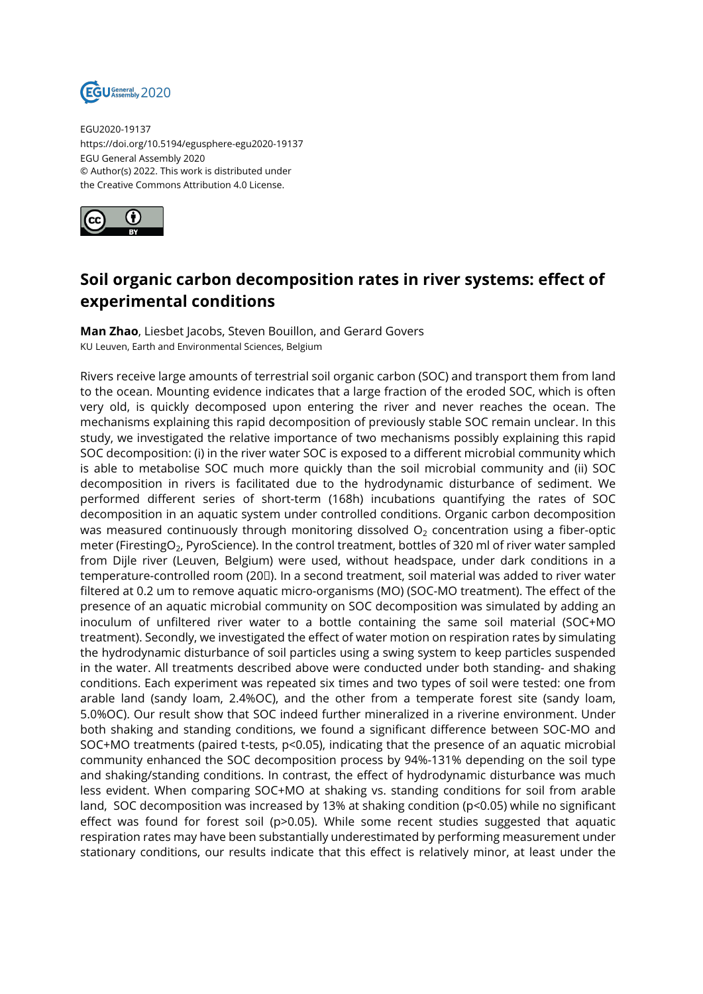

EGU2020-19137 https://doi.org/10.5194/egusphere-egu2020-19137 EGU General Assembly 2020 © Author(s) 2022. This work is distributed under the Creative Commons Attribution 4.0 License.



## **Soil organic carbon decomposition rates in river systems: effect of experimental conditions**

**Man Zhao**, Liesbet Jacobs, Steven Bouillon, and Gerard Govers KU Leuven, Earth and Environmental Sciences, Belgium

Rivers receive large amounts of terrestrial soil organic carbon (SOC) and transport them from land to the ocean. Mounting evidence indicates that a large fraction of the eroded SOC, which is often very old, is quickly decomposed upon entering the river and never reaches the ocean. The mechanisms explaining this rapid decomposition of previously stable SOC remain unclear. In this study, we investigated the relative importance of two mechanisms possibly explaining this rapid SOC decomposition: (i) in the river water SOC is exposed to a different microbial community which is able to metabolise SOC much more quickly than the soil microbial community and (ii) SOC decomposition in rivers is facilitated due to the hydrodynamic disturbance of sediment. We performed different series of short-term (168h) incubations quantifying the rates of SOC decomposition in an aquatic system under controlled conditions. Organic carbon decomposition was measured continuously through monitoring dissolved  $O<sub>2</sub>$  concentration using a fiber-optic meter (FirestingO<sub>2</sub>, PyroScience). In the control treatment, bottles of 320 ml of river water sampled from Dijle river (Leuven, Belgium) were used, without headspace, under dark conditions in a temperature-controlled room (20℃). In a second treatment, soil material was added to river water filtered at 0.2 um to remove aquatic micro-organisms (MO) (SOC-MO treatment). The effect of the presence of an aquatic microbial community on SOC decomposition was simulated by adding an inoculum of unfiltered river water to a bottle containing the same soil material (SOC+MO treatment). Secondly, we investigated the effect of water motion on respiration rates by simulating the hydrodynamic disturbance of soil particles using a swing system to keep particles suspended in the water. All treatments described above were conducted under both standing- and shaking conditions. Each experiment was repeated six times and two types of soil were tested: one from arable land (sandy loam, 2.4%OC), and the other from a temperate forest site (sandy loam, 5.0%OC). Our result show that SOC indeed further mineralized in a riverine environment. Under both shaking and standing conditions, we found a significant difference between SOC-MO and SOC+MO treatments (paired t-tests, p<0.05), indicating that the presence of an aquatic microbial community enhanced the SOC decomposition process by 94%-131% depending on the soil type and shaking/standing conditions. In contrast, the effect of hydrodynamic disturbance was much less evident. When comparing SOC+MO at shaking vs. standing conditions for soil from arable land, SOC decomposition was increased by 13% at shaking condition (p<0.05) while no significant effect was found for forest soil (p>0.05). While some recent studies suggested that aquatic respiration rates may have been substantially underestimated by performing measurement under stationary conditions, our results indicate that this effect is relatively minor, at least under the